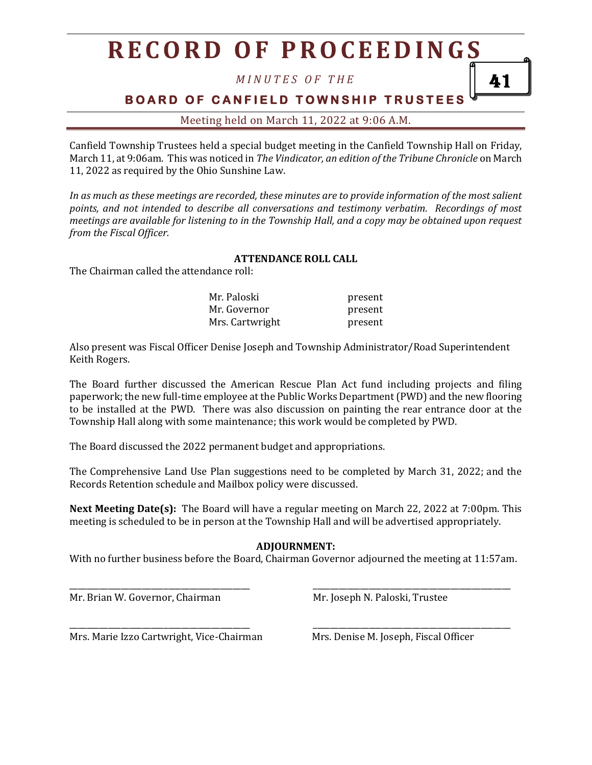## **R E C O R D O F P R O C E E D I N G S**

*M I N U T E S O F T H E*

**BOARD OF CANFIELD TOWNSHIP TRUSTEES** 

41

Meeting held on March 11, 2022 at 9:06 A.M.

Canfield Township Trustees held a special budget meeting in the Canfield Township Hall on Friday, March 11, at 9:06am. This was noticed in *The Vindicator, an edition of the Tribune Chronicle* on March 11, 2022 as required by the Ohio Sunshine Law.

*In as much as these meetings are recorded, these minutes are to provide information of the most salient points, and not intended to describe all conversations and testimony verbatim. Recordings of most meetings are available for listening to in the Township Hall, and a copy may be obtained upon request from the Fiscal Officer.*

#### **ATTENDANCE ROLL CALL**

The Chairman called the attendance roll:

| Mr. Paloski     | present |
|-----------------|---------|
| Mr. Governor    | present |
| Mrs. Cartwright | present |

Also present was Fiscal Officer Denise Joseph and Township Administrator/Road Superintendent Keith Rogers.

The Board further discussed the American Rescue Plan Act fund including projects and filing paperwork; the new full-time employee at the Public Works Department (PWD) and the new flooring to be installed at the PWD. There was also discussion on painting the rear entrance door at the Township Hall along with some maintenance; this work would be completed by PWD.

The Board discussed the 2022 permanent budget and appropriations.

The Comprehensive Land Use Plan suggestions need to be completed by March 31, 2022; and the Records Retention schedule and Mailbox policy were discussed.

**Next Meeting Date(s):** The Board will have a regular meeting on March 22, 2022 at 7:00pm. This meeting is scheduled to be in person at the Township Hall and will be advertised appropriately.

#### **ADJOURNMENT:**

With no further business before the Board, Chairman Governor adjourned the meeting at 11:57am.

\_\_\_\_\_\_\_\_\_\_\_\_\_\_\_\_\_\_\_\_\_\_\_\_\_\_\_\_\_\_\_\_\_\_\_\_\_\_\_\_\_\_ \_\_\_\_\_\_\_\_\_\_\_\_\_\_\_\_\_\_\_\_\_\_\_\_\_\_\_\_\_\_\_\_\_\_\_\_\_\_\_\_\_\_\_\_\_\_

\_\_\_\_\_\_\_\_\_\_\_\_\_\_\_\_\_\_\_\_\_\_\_\_\_\_\_\_\_\_\_\_\_\_\_\_\_\_\_\_\_\_ \_\_\_\_\_\_\_\_\_\_\_\_\_\_\_\_\_\_\_\_\_\_\_\_\_\_\_\_\_\_\_\_\_\_\_\_\_\_\_\_\_\_\_\_\_\_

Mr. Brian W. Governor, Chairman Mr. Joseph N. Paloski, Trustee

Mrs. Marie Izzo Cartwright, Vice-Chairman Mrs. Denise M. Joseph, Fiscal Officer